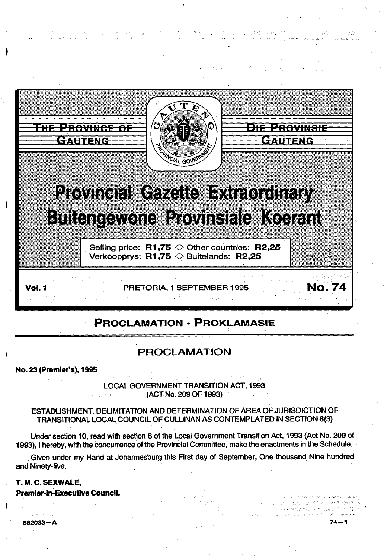

s en la marca de la componición de la marca

.-, *, ...* :; ;,',' .,,\_ . ..;, ~ ,, .,, '. . ' .,..\_,,\_,\_ *'"-\_,;* 

',, \_,.,

# **PROCLAMATION • PROKLAMASIE**

# **PROCLAMATION**

**No. 23 (Premier's}, 1995** 

LOCAL GOVERNMENT TRANSITION ACT, 1993  $\alpha_{\rm{c}}$  and  $\alpha_{\rm{c}}$ (ACT No. 209 OF 1993)

ESTABLISHMENT, DELIMITATION AND DETERMINATION OF AREA OF JURISDICTION OF TRANSITIONAL LOCAL COUNCIL OF CULLINAN AS CONTEMPLATED IN SECTION 8(3)

Under section 10, read with section 8 of the Local Government Transition Act, 1993 (Act No. 209 of 1993), I hereby, with the concurrence of the Provincial Committee, make the enactments in the Schedule .

. Given under my Hand at Johannesburg this First day of September, One thousand Nine hundred and Ninety-five.

### **T. M. C. SEXWALE,**

**Premier-In-Executive Council.** 

882033-A 74-1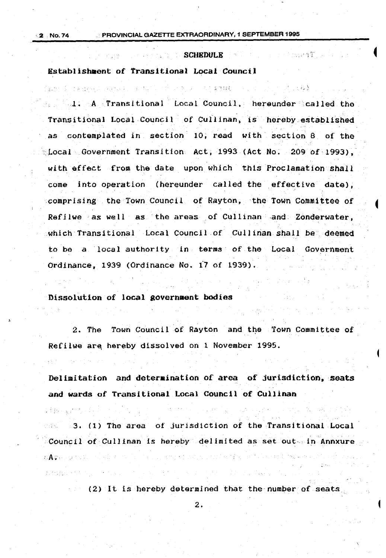日本 stark さまだい

 $\label{eq:optimal} \mathcal{L} \mathcal{L}(\mathcal{L}(\mathcal{D},\mathcal{D},\mathcal{D},\mathcal{D},\mathcal{D},\mathcal{D},\mathcal{D},\mathcal{D},\mathcal{D},\mathcal{D},\mathcal{D},\mathcal{D},\mathcal{D})$ 

### SCHROME SERVICE SCHRDULE AND A SCHROUGHT D

### Establishment of Transitional Local Council

有数据的第三字母组织组织 化铝合金 经工作 医心包 计图片 医心包 医心包 医神经囊肿 医生物 计分子 医白细胞

l. A Transitional Local Council, hereunder called the Transitional Local Council of Cullinan, is hereby established as contemplated in section 10, read with section 8 of the ·Local Government Transition Act, 1993 (Act No. 209 of 1993), with effect from the date upon which this Proclamation shall come into operation (hereunder called the effective date), comprising the Town Council of Rayton, the Town Committee of Refilwe as well as the areas of Cullinan and. Zonderwater, .which Transitional Local Council of Cullinan shall be deeMed to be a local authority in terms of the Local Government Ordinance, 1939 (Ordinance No. i7 of 1939).

### Dissolution of local government bodies

2. The Town Council of Rayton and the Town Committee of Refilwe are hereby dissolved on 1 November 1995.

Delimitation and deteraination of area of jurisdiction, seats and wards of Transitional Local Council of Cullinan

 $3.$  (1) The area of jurisdiction of the Transitional Local Council of Cullinan is hereby delimited as set out in Annxure  $\mathcal{L}(\mathbf{A},\mathcal{D})$  , and  $\mathcal{L}(\mathcal{D},\mathcal{D})$  , and  $\mathcal{L}(\mathcal{D},\mathcal{D})$  , and  $\mathcal{L}(\mathbf{A},\mathcal{D})$ つかい くだんめ とうけんてん 内容の きゅうじんきゅうよう

(2) It is hereby determined that the number of seats.

2.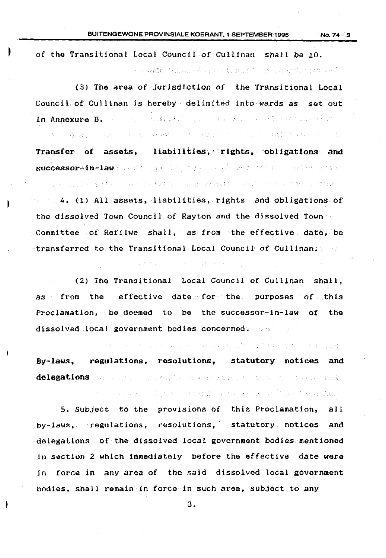of the Transitional Local Council of Cullinan shall be 10. าราย และเค**รรับ** เรื่องประมาณ 4 มหาราย 5 จันนิยม 2011 การต่อง ราย 2011 หน้าที่ 5 ปี

(3) The area of Jurisdiction of the Transitional Local Council of Cullinan is hereby· delitnited into wards as set out in An~exure B. ~ ; . 4. 经营养的 化叠氮酸的 经公司的 化二硫酸盐 化二硫酸酯 化二乙基 化分离子 医皮肤病 医神经病 化氧化物 医心包 化生物的 化二硫酸盐 Transfer of assets, liabilities, rights, obligations· and successor\_in-law · : (8) . Guide property and supply the set Sire "不是是做。"到了李明的身体,一点对手的第三章文献,"你妈妈的不懂会找"。 对于是如此地位 800 机高温分散器  $4. (1)$  All assets, liabilities, rights and obligations of the dissolved Town Council of Rayton and the dissolved Town  $\leq$ committee of Refilwe shall, as from the effective date, be ·transferred to the Transitional Local Council of Cullinan;

(2) Tho Transitional Local Council of Culljnan shall, as from the effective date for the purposes of this Proclamation, be deemed to be the successor-in-law of the dissolved local government bodies concerned. The same of

医三甲基 医红色反射 化乙酰苯胺 医神经炎 经无价值 医假皮肤 医单元 医神经病毒病毒 By-laws, regulations, resolutions, statutory notices and delegations and a consequence of the famorage following the statute fact

"五十年七月一日,我们不会说有些人,本权的地带,我们一点一点。" 计二角 "一般,一位如此处,我把一

5. Subject to the provisions of this Proclamation, all by-laws, regulations, resolutions, statutory notices and delegations of the dissolved local government bodies mentioned in section 2 which immediately before the effective date were in force in any area of the said dissolved local government bodies, shall remain in force in such area, subject to any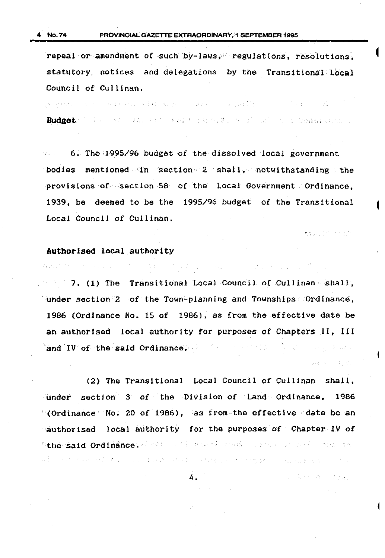repeal or amendment of such by-laws, regulations, resolutions, statutory notices and delegations by the Transitional Local Council of Cullinan.

.<br>Listentia di turco e de Parti Relativa de la celebra de la Relativa de la celebra de la celebra de la Mod

Budget: ' first of the control weight and the second state of the second second second

6. The 1995/96 budget of the dissolved local government. 被変化 () bodies mentioned in section 2 shall, notwithstanding the provisions of section 58 of the Local Government Ordinance, 1939, be deemed to be the 1995/96 budget of the Transitional Local Council of Cullinan.

博克研究会员 计可分类

ここみさく みっしえきん

### Authorised local authority

Water Artists of the Contractors

 $7.$  (1) The Transitional Local Council of Cullinan shall,  $\sim$ under section 2 of the Town-planning and Townships  $\sim$  Ordinance, 1986 (Ordinance No. 15 of 1986), as from the effective date be an authorised local authority for purposes of Chapters II, III and IV of the said Ordinance. We have the complete search 2000年に関する。

And the first state of the state of the state of the state of the

(2) The Transitional Local Council of Cullinan shall, under section 3 of the Division of Land Ordinance, 19B6 (Ordinance No. 20 of 1986), as from the effective date be an  $\alpha$  authorised local authority for the purposes of Chapter IV of. "the said Ordinance. And a service where the contract of the contract the

4.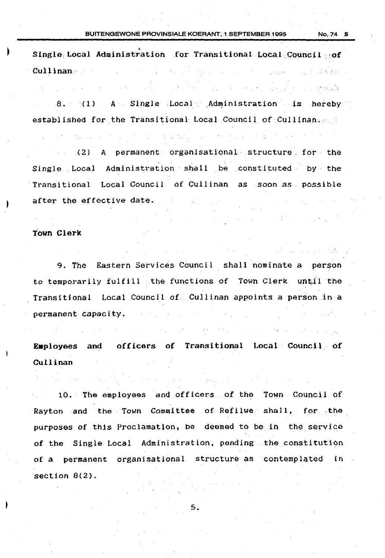Single. Local Administration for Transitional Local Council of Cullinan.· -<br>「メール」 - 「オート」 - 「ALLART」 - 「ALLART」 - 「東西学校」

8. (1) A Single Local Administration is hereby established for the Transitional Local Council of Cullinan.

(2) A permanent organisational· structure. for the Single Local Administration shall be constituted by the Transitional Local Council of Cullinan as soon as possible after the effective date.  $\sim 10^{-10}$  km s  $^{-1}$ 

### Town Clerk

 $\label{eq:2.1} \mathcal{L}(\mathcal{L}^{\mathcal{L}}_{\mathcal{L}}(\mathcal{L}^{\mathcal{L}}_{\mathcal{L}}(\mathcal{L}^{\mathcal{L}}_{\mathcal{L}}(\mathcal{L}^{\mathcal{L}}_{\mathcal{L}}(\mathcal{L}^{\mathcal{L}}_{\mathcal{L}}(\mathcal{L}^{\mathcal{L}}_{\mathcal{L}}(\mathcal{L}^{\mathcal{L}}_{\mathcal{L}}(\mathcal{L}^{\mathcal{L}}_{\mathcal{L}}(\mathcal{L}^{\mathcal{L}}_{\mathcal{L}}(\mathcal{L}^{\mathcal{L}}_{\mathcal{L}}(\mathcal{L$ 

9. The Eastern Services Council shall nominate *a* person to temporarily fulfill the functions of Town Clerk until the Transitional Local Council of Cullinan appoints a person in a permanent capacity.

Employees and officers of Transitional Local Council of Cullinan

10. The employees and officers of tho Town Council of Rayton and the Town Committee of Refilwe shall, for the purposes of this Proclamation, be deemed to be in the service of the Single Local Administration, pending the constitution of a permanent organisational structure as contemplated in section 8(2).

5.

and the season is a strong complete.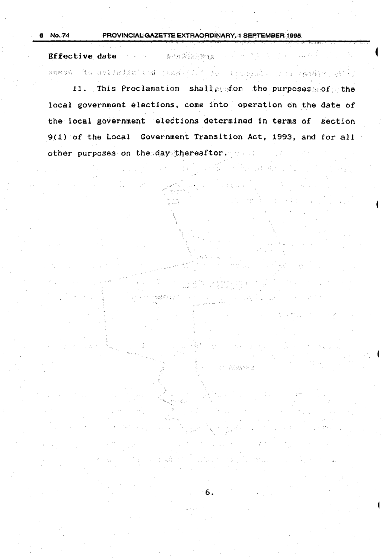Bffective date with a manufacturery with  $\mathcal{L}^{\mathcal{A}}$  ,  $\mathcal{L}^{\mathcal{A}}$  ,  $\mathcal{L}^{\mathcal{A}}$  ,  $\mathcal{L}^{\mathcal{A}}$  ,  $\mathcal{L}^{\mathcal{A}}$  ,  $\mathcal{L}^{\mathcal{A}}$  ,  $\mathcal{L}^{\mathcal{A}}$  ,  $\mathcal{L}^{\mathcal{A}}$  ,  $\mathcal{L}^{\mathcal{A}}$  ,  $\mathcal{L}^{\mathcal{A}}$  ,  $\mathcal{L}^{\mathcal{A}}$  ,  $\mathcal{L}^{\mathcal{A}}$  ,  $\mathcal{$ sassa to dollatistad a chad for the connect of the same of

11. This Proclamation shall profor the purposes poof the local government elections, come into operation on the date of the local government elections determined in terms of section 9(1) of the Local Government Transition Act, 1993, and for all other purposes on the day thereafter.

TO COMME

6.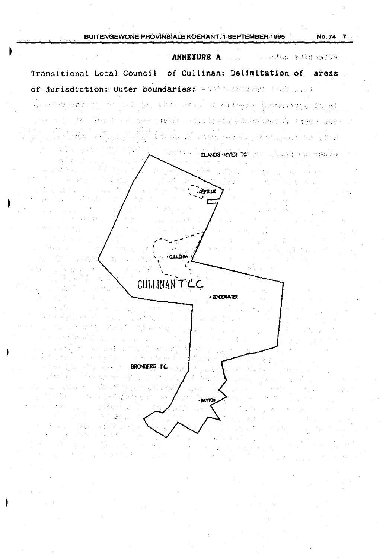### BUITENGEWONE PROVINSIALE KOERANT, I SEPTEMBER 1995

ANNEXURE A Manuel Constant of the college Transitional Local Council of Cullinan: Delimitation of areas of jurisdiction: Outer boundaries: - 798 2008 2008 0308 1008 and the stage and the second to the stage of Special Alberta Booth (1) (2) C. CONCRETE ACTOR TEST OR 2000 - AND man from a TACHER AND TRIAL WORK TRANSLAND **ELANDS RIVER TC** and the selection of cash has ਬਾਪ **CLLINH** CULLINAN TLC - ZO-CERWATER **BRONEERG TC.** . окупа  $\Delta \sim 1$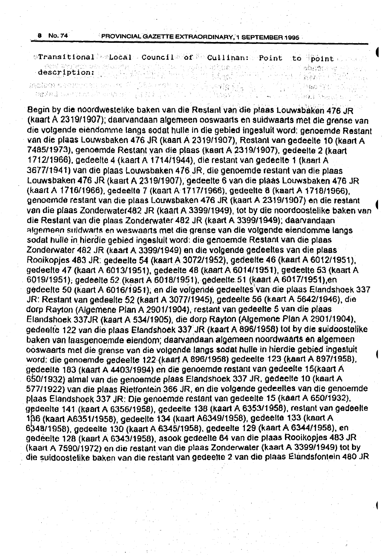\*Transitional 'Local Council' of <sup>N</sup>e Cullinan: Point to <sup>1</sup>point exceptional component of **point** and the set of **point** of the set of  $\alpha$ description:

 $\mathcal{N}_{\mathrm{E}}$ 

小脑磁管 经一个人

William Benedits

parties.

REARCH SERVICES WAS REPORTED TO A REPORT OF

Begin by die noordwestelike baken van die Restanlvandie piaas Louwsbaken 4J6 JR (kaart A 2319/1907); daarvandaan algemeen ooswaarts en suidwaarts met die grense van die volgende eiendomme langs aodat hulle In die gebied ingesluit word: genoemde Restant van die plaas Louwsbaken 476 JR (kaart A 2319/1907}, Restant van gedeelte 10 (kaart A 7485/1973), genoemde Restant van die plaas (kaart A 2319/1907), gedeelte 2 (kaart 1712/1966). gedeelte 4 (kaart A 1714i1944}. die restant van gedeelte 1 (kaart A 3677/1941) van die plaas Louwsbaken 476 JR, die genoemde restant van die plaas. Louwsbaken 476 JR (kaart A 2319/1907}, gedeelte 6 van die plaas Louwsbaken 476 JR (kaarl A 1716/1966), gedeette 7 (Kaart A 1717/1966). gedeelte 8 (kaart A 1718/1966), genoemde restant van die plaas Louwsbaken 476 JR (kaart A 2319/1907) en die restant <sup>~</sup> van die plaas Zonderwater482 JR (kaart A 3399/1949}, tot by die noordoostelike baken van die Restant van die plaas Zonderwater 482 JR (kaart A 3399/1949); daarvandaan algemeen suidwarts en weswaarts met die grense van die volgende eiendomme langs sodat hulle in hierdie gebied ingesluit word: die genoemde Restant van die plaas Zonderwater 482 JR (kaart A 3399/1949) en die volgende gedeeltes van die plaas Rooikopjes 483 JR: gedeelte 54 (kaart A 3072/1952). gedeelte 46 (kaart A 6012/1951), gedeelte 47 (kaart A 6013/1951 ), gedeelte 48 (kaart A 6014/1951), gedeelte 53 (kaart A 6019/1951); gedeelte 52 (kaart A 6018/1951), gedeelte 51 (kaart A 6017/1951),en gedeelte 50 (kaart A 6016/1951); en die volgende gedeelles'van die plaas Elandshoek. 337 JR: Restant van gedeelte 52 (kaart A 3077/1945). gedeelte 56 (kaart A 5642/1946), die dorp Rayton (Aigemene Plan A 2901/1904), restant van gedeette 5 van die plaas Elandshoek 337JR (kaart A 534/1905), die dorp Rayton (Aigemene Plan A 2901/1904), gedealfe 122 van die plaas Elandshoek 337.JR (kaart A 896/1958} tot by die suidoostelike baken van laasgenoemde eiendom; daarvandaan algemeen noordwaarts en algemeen ooswaarts met die grense van die volgende tangs sodat hulle in hierdie gebied ingesluit word: die genoemde gedeelte 122 (kaan A 896/1958) gedeelte 123 (kaart A 897/1958). gedeelle 163 (kaart A 4403/1994) en die genoemde restant van gedeelte 15(kaart A . 6S0/1932) almal van die genoemde plaas Elandshoek 337 JR. gedeelte 10 (kaart A 577/1922) van die plaas Rietfontein 366 JR, en die volgende gedeeltes van die genoemde ptaas Elandshoek 337 JR: Die genoemde restant van gedeelte 15 (kaart A 650/1932), gedeelte 141 (kaart A 6356/1958), gedeelte 138 (kaart A 6353/1958), restant van gedeelte 186 (kaart A6351/1958), gedeelte 134 (kaart A6349/1958), gedeelte 133 (kaart A 6348/1958), gedeelte 130 (kaart A 6345/1958), gedeelte 129 (kaart A 6344/1958), en gedeelte 128 (kaart A 6343/1958). asook gedeelle 64 van die plaas Rooikopjes 483 JR (kaart A 7590/1972) en die restant van die plaas Zonderwater (kaart A 3399/1949) tot by . die suidoostelike baken van die restant van gedeelte 2 van die plaas Elandsfontein 480 JR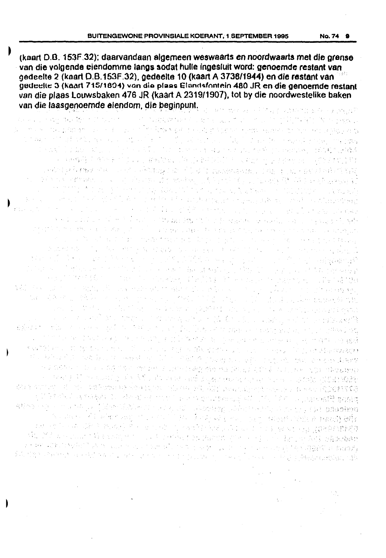(kaart D.B. 153F.32); daarvandaan algemeen weswaarts en noordwaarts met die grense van die volgende eiendomme langs sodat hulle ingesluit word: genoemde restant van nedeelte 2 (kaart D.B.153F.32), gedeelte 10 (kaart A 3738/1944) en die restant van met gedeelte 3 (kaart 715/1804) van die plaas Elandsfontein 480 JR en die genoemde restant van die plaas Louwsbaken 476 JR (kaart A 2319/1907), tot by die noordwestelike baken van die laasgenoemde eiendom, die beginpunt. 经一种地 化学 医红细胞增多的 化乙酮乙醇 医原子 医眼镜检查

and the state was not a contract of the contract of the first of the property 经国际公司 化硫酸盐 网络卡拉尔加尔卡拉尔 .<br>De este a composition de la producción de la texte de la disposición de la contra de la texte de la disposició The ANTI Distance of production of the Control of the Anti-March of the Control of the Constitution of the Constitution of the Anti-医三细胞瘤 医波斯氏 经过少的公益 网络微微的 医在前期神经的 医小脑神经炎 化氯化乙烯酸 计同步的复数 经票额额 ' , which will stage show the construction of the field of the experimental political equation in the field of a di kata matangan da sa di kacamatan di manakan di tanggal ng dibangan kata da na kanyang d a sa mga bansang sa kanang gunaan ng Kabupatèn Kalumatan Salah. a se postavlja se oblasti se se postavlja i dala kao sa se postavlja se oblasti se oblasti se oblasti se se se<br>Postavlja se oblasti se se oblasti se oblasti se postavlja se oblasti se oblasti se oblasti se oblasti se post ang taong iko sa sanggunian.<br>Kabupatèn Pangalangan of a literary stage of the anticipated by the contract of the company and the stage at a compart of the form of the first theory is the property of the second comparison of the following a la para partir del control y de la general del celebra de l'estreto del coloro del contenente del propio di a sa sa shekara 2001 na kata 1990 na katika 2008. Ana katika 2008 na shekarar 2013 na kata 2013 na kasance na <br>A kata 2014 na kata 2019 na kata 2019 na kata 2019 na kata 2019 na kata 2019 na kata 2019 na kata 2019 na kata **TATIONS** SERVICE a de la composición de la composición de la composición de la composición de la composición de la composición<br>La composición de la composición de la composición de la composición de la composición de la composición de la and the second state of the second state of the second state of the second state of the second state of the second state of the second state of the second state of the second state of the second state of the second state o and a state of the state of the state of the first of the state of the state of the state of the state of the<br>The state of the state of the state of the state of the state of the state of the state of the state of the st  $\label{eq:2.1} \mathcal{L}(\mathcal{H}_{\mathcal{H}}) = \mathcal{L}(\mathcal{H}_{\mathcal{H}}) = \mathcal{L}(\mathcal{H}_{\mathcal{H}}) = \frac{1}{2} \mathcal{L}(\mathcal{H}_{\mathcal{H}}) = \frac{1}{2} \mathcal{L}(\mathcal{H}_{\mathcal{H}}) = \frac{1}{2} \mathcal{L}(\mathcal{H}_{\mathcal{H}}) = \frac{1}{2} \mathcal{L}(\mathcal{H}_{\mathcal{H}}) = \frac{1}{2} \mathcal{L}(\mathcal{H}_{\mathcal{H}}) = \frac{1}{2} \mathcal{L}(\mathcal$ The American Francisco Expansio a para a sa santa de polonidade de la construção de la paíse de la construção de la construção de la construçã<br>Estado de la construção de la construção de la construção de la construção de la construção de la construção a stilika eta karteko gali atau 1946ko hau yang iku ilikuwa kitabungan kampungan dan bandar di tidak lang.<br>Salah sebagai kampungan dan 1946ko hanya dan kitab dan kelangan dan berasa dan berasa dan kalendar dan berasal 子宮神学院 میں اس کے اسلام کا مطابق اس کا مطابق میں ایک میں میں میں میں اس کے لیے اس کے لیے اس کے لیے اس کے لیے اس کے لیے<br>انٹاؤ میں اس کے اس میں میں میں میں میں اس کے مطابق میں ایک اس کی میں میں اس کی میں کہنا گی میں میں میں اس کی ا '-1 in the second transport of the second control of the second control of the second control of the second se<br>How second is considered in consistent of the second in present well self-control of the second of the second . •, video o colori i degli soccentro i controlidegi electronica i altricolori poste colori electronic.<br>In controlidati electronico del SS video a tel simbologen nevon con se colori i contribuigi electronico. a shekarar a ragan ti saba shekarar shekarar ta ta ƙasar Angilar San Tangariya.<br>'Yan kasar sa raga ta shekarar ta ƙasar Angila. و معاملات المتحدة المدينة المدينة المستقدمة المتحدة المدينة المدينة المستقدمة المعاملة.<br>ووقفها مع المواد والداخل المستقدمة الطعام ووطئته التي يتمام المدينة المستقدمة أو إلى المتحدة المدينة والمتحدة a in 1970 a company de la salina de la contra de la construcción de la constitución de la constitución de la t<br>Altra 1970 a companya de la salina de la contra de la constitución de la constitución de la constitución de la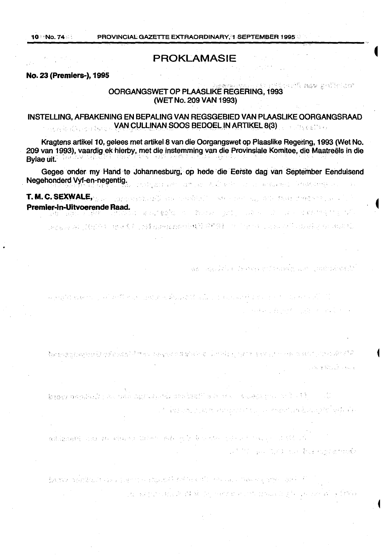# PROKLAMASIE

### No. 23 (Premiers-), 1995

### . ':• '• popining value for OORGANGSWET OP PLAASLIKE REGERING, 1993 (WET No. 209 VAN 1993)

### INSTELLING, AFBAKENING EN BEPALING VAN REGSGEBIED VAN PLAASLIKE OORGANGSRAAD , VAN q.JLLIN.ANSOOS BEOOf:L ~N AflTIK:EL 8(3) . , ta la s

Kragtens artikel 1 0, gelees met artikel 8 van die Oorgangswet op Plaaslike Regering, 1993 (Wet No. 209 van 1993), vaardig ek hierby, met die instemming van die Provinsiale Komitee, die Maatreëls in die Bylae uit.

Gegee onder my Hand te Johannesburg; op hede die Eerste dag van September Eenduisend Negehonderd Vyf-en-negentig. THE CONSTRUCTION OF THE CONTRACTOR OF A REPORT OF THE CONSTRUCTION OF THE CONTRACTOR OF THE CONTRACTOR OF THE CONTRACTOR

T. M. C. SEXWALE,  $\gamma_{\rm{2.20}}$  , and  $\gamma_{\rm{3.20}}$  , the considerable conservation of  $\gamma_{\rm{2.20}}$  , and  $\gamma_{\rm{2.20}}$  , and  $\gamma_{\rm{2.20}}$ Premier-in-Uitvoerende Raad.<br>Die seiste staat de staat die bestelling van die staat die staat gebied van die bestelling van die staat die s

(1878) London (建筑)开始 (1884年) (1894) 2007年2009年4月10日(1895年) 11月11日 11月20日 11月1日 2008年11月11日 2008年11月

wa nasio kata katika milimba wa mwakazi wa

しんしゃ ちょうしゅぎょう あんさせった しょうしゅうきょう アイト しょうかいどう 医神经性静脉炎 医软骨下的 医下列

 $\label{eq:2.1} \frac{1}{2} \left( \frac{1}{2} \sum_{i=1}^n \frac{1}{2} \sum_{i=1}^n \frac{1}{2} \sum_{i=1}^n \frac{1}{2} \sum_{i=1}^n \frac{1}{2} \sum_{i=1}^n \frac{1}{2} \sum_{i=1}^n \frac{1}{2} \sum_{i=1}^n \frac{1}{2} \sum_{i=1}^n \frac{1}{2} \sum_{i=1}^n \frac{1}{2} \sum_{i=1}^n \frac{1}{2} \sum_{i=1}^n \frac{1}{2} \sum_{i=1}^n \frac{1}{2} \sum$ 

homes magnitude the grad characters of conductive and one of a spectrum of the left 有常数的 计微结构 法经济的政府 化二氯 化硫酸盐 医梅克氏试验检尿糖 军事

数据管数据数据 的复数美国红海绵组织 医假静脉的 右腰的 化聚乙基 化乙烯二氯基丙烷 经自动支付 计设备系统信号

this security is the Post modern mode

prove mental terms for the market return of the construction operator ing the strip of the County of the state of the control of the control of the control of the first of the control of the control of the control of the control of the control of the control of the control of the control of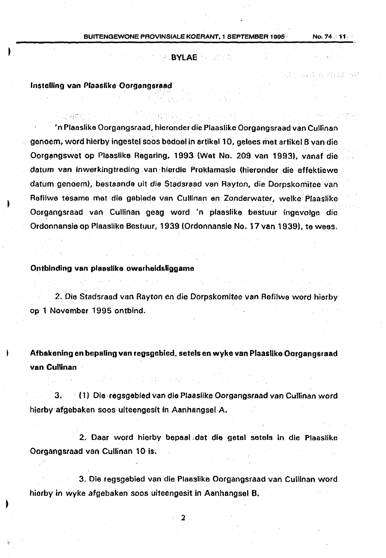### · BYLAE.

### lnstelling van Plaaslike Oorgangsraad

'n Plaaslike Oorgangsraad, hieronder die Plaaslike Oorgangsraad van Cullinan genoem; word hierby ingestel soos bedoel in artikel 10, gelees met artikel 8 van die Oorgangswet op Plaaslike Regaring, 1993 (Wet No. 209 van 1993), vanaf die datum van inwerkingtreding .van ·hierdie Proklamasie (hieronder die effektiewe datum genoem), bestaande uit die Stadsraad van Rayton, die Dorpskomitee van Refilwe tesamo mat· dia gabiade van Cullinan en Zonderwater, welke Plaaslike Oorgangsraad van Cullinan geag word 'n plaaslike bestuur ingevolge die Ordonnansie op Plaaslike Bestuur, 1939 (Ordonnansie No. 17 van 1939), te wees.

### Ontbinding van plaaslike owerheidsliggame

2. Die Stadsraad van Rayton en die Dorpskomitee van Refilwe word hierby op 1 November 1995 ontbind.

Afbakening en bepaling van regsgebied, setels en wyke van Plaaslike Oorgangsraad van Cullinan

3. ( 1) Die· regsgebied van die Plaaslike Oorgangsraad van Cullinan word hierby afgebaken soos uiteengesit in Aanhangsel A.

2. Daar word hierby bepeal ,dat die getol satels in die Plaaslike Oorgangsraad van Cullinan 10 is.

3. Die regsgebied van die Plaaslike Oorgangsraad van Cullinan word hiorby in wyke afgebaken soos uiteengesit in Aanhangsel B.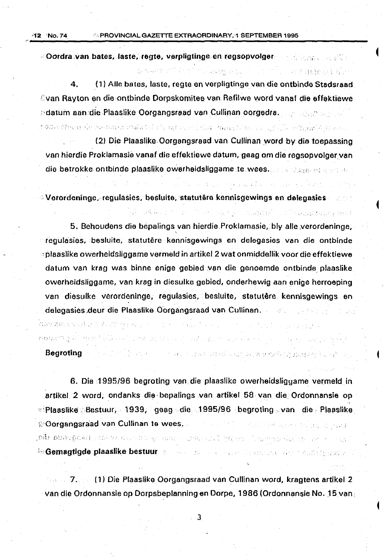$\triangle$ Oordra $\triangle$ van bates, laste, regte, verpligtinge en regsopvolger and segment of the set

4. ( 1) Aile bates, laste, regte en vorpligtinge van die ontbinde Stadsraad Cyan Rayton en die ontbinde Dorpskomitee van Refilwe word vanaf die effektiewe edatum aan die Plaaslike Oorgangsraad van Cullinan oorgedra. The staatste stad

as welcomed that it is assumed to the contract state of state

น้ำคัด เป็นประเทศไทย เป็นประกอบเป็นเพื่อในตัว เป็นประกอบเป็นประกอบเป็นประกอบเป็นประกอบเป็นประกอบเป็นประกอบเป็น<br>ประกอบเป็นประกอบเป็นประกอบเป็นประกอบเป็นประกอบเป็นประกอบเป็นประกอบเป็นประกอบเป็นประกอบเป็นประกอบเป็นประกอบเป็น

きょくい せないこう くちょう スパーティース アース・ビー・アルト

 $\circ$  . The state is responsible to the space of the main the state of  $\mathbb{R}^n$  , while  $\mathbb{R}^n$ 

(2) Die Plaaslike. Oorgangsraad van Cullinan .word by dia toepassing van hierdie Proklamasie vanaf die effektiewe datum, geag om die regsopvolgeryan die betrokke ontbinde plaaslike owerheidsliggame te wees.

 $\sim$  Verordeninge, regulasies, besluite, statutêre kennisgewings en delegasies and  $\sim$ 

5. Behoudens die bepalings van hierdie Proklamasie, bly alle verordeninge, ' regulasies, besluite, statutere kennisgewings en delegasies van die ontbinde 'plaaslike owerheidsliggame vermeld in artikel 2 wat onmiddellik voor die effektiewe datum van krag was binne enige gebied van die genoemde ontbinde plaaslike owerheidsliggame, van krag in diesulke gebied, onderhewig aan enige herroeping van diesulke verordeninge, regulasies, besluite, statutêre kennisgewings en delegasies deur die Plaaslike Oorgangsraad van Cullinan. Deur deur die Sterne en

.<br>Waan aan weeg in de de de de de gestel een de stel van de verstel een de stel op de gespreek van de de de de

 $n$ obers $\chi$  alternation as the management and serves are the second of the serves of the

# Begroting of the later of the contract of the second second second relation meaning the setting

6. Die 1995/96 begroting van die plaaslike owerheidsligyame vermeldin artikel 2 word; ondanks die bepalings van artikel 58 van die Ordonnansie op e: Plaaslike . Bestuur, 1939, geag die 1995/96 begroting van die Plaaslike. **R'Oorgangsraad van Cullinan te wees, Allie for the final film of the final field field.** ,**oiti shapigash** calche a color to your construct where The may half by your f ie Gemagtigde plaaslike bestuur, weerden van die vanafskaal ander watergewar

7. ( 1) Die Plaaslike Oorgangsraad van Cullinan word, kragtens artikel 2 van die Ordonnansie op Dorpsbeplanning en Dorpe, 1986 (Ordonnansie No. 15 van.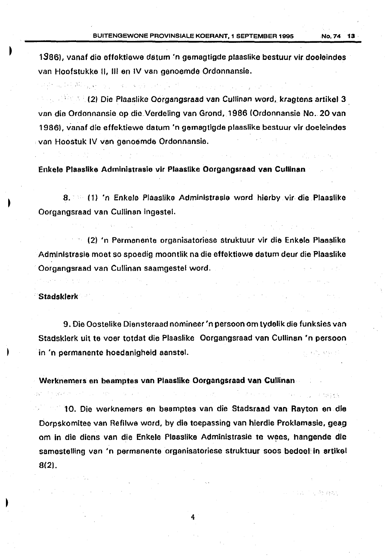1386), vanaf dio effektiawe datum 'n gernagtigde plaaslike bestuur vir doeleindes van Hoofstukke II, Ill en IV van ganoemde Ordonnansie.

**Figure 12, 2008 (2) Die Plaaslike Oorgangsraad van Cullinan word, kragtens artikel 3** van die Ordonnansie op die Verdeling van Grond, 1986 (Ordonnansie No. 20 van 1986), vanaf die effektiewe datum 'n gemagtigde plaaslike bestuur vir doeleindes van Hoostuk IV van genoemde Ordonnansie.

Enkele Plaaslike Adrninistrasio vir Plaaslike Oorgangsraad van Cullinan

그 가르고 가면 주인 있는데 없는 이 없이 잘 못했다. 저는 일이

8. · (1) 'n Enkele Plaaslike Administrasie word hierby vir die Plaaslike Oorgangsraad van Cullinan ingestel.

(2) 'n Permanente organisatoriese struktuur vir die Enkele Plaaslike Admlnlstrasle moet so spoedig moontlik na die effektiewe datum deur die Plaaslike Oorgangsraad van Cullinan saamgestel word .

### Stadsklerk

9. Die Oostelike Diansteraad nomineer 'n per soon om tydelik die funksies van Stadsklerk uit te voer totdat die Plaaslike Oorgangsraad van Cullinan •n persoon in 'n permanente hoedanigheld aanstel.

Werknemers en beamptes van Plaaslike Oorgangsraad van Cullinan

10. Die werknemers en beamptes van die Stadsraad van Rayton en die Dorpskomitee van Refilwe word, by die toepassing van hierdie Proklamasie, geag. om in die diens van die Enkele Plaaslike Administrasie te wees, hangende die samestelling van 'n permanenta organisatoriese struktuur soos bedoel in artikel 8(2).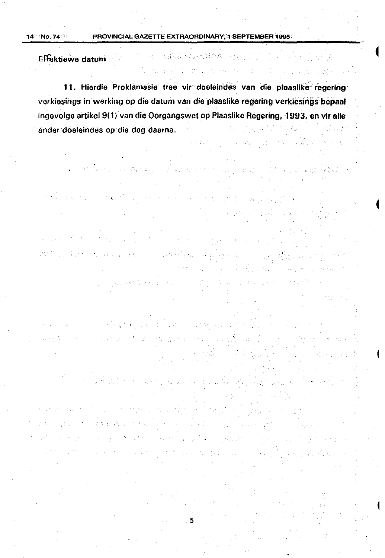the company of the company of the company of the company of the company of the company of the company of the c<br>The company of the company of the company of the company of the company of the company of the company of the c

الموادي وأقوي والمراجين

Political and give become

 $\sim 10^{11}$  m  $^{-1}$ 

2012年10月1日

一般的是

的复数形式

2. 医骨折子的 计图

的变形 医血压 网络自由的生产的

Effektiewe datum

11. Hierdie Proklamasie tree vir dooleindes van die plaaslike regering verkiesings in werking op die datum van die plaaslike regering verkiesings bepaal ingevolge artikel 9(1) van die Oorgangswet op Plaaslike Regering, 1993, en vir alle ander doeleindes op die dag daarna.

 $\label{eq:3.1} \mathcal{F}^{\mathcal{A}}_{\mathcal{A}}(\mathcal{A}) = \mathcal{F}^{\mathcal{A}}_{\mathcal{A}}(\mathcal{A}) = \mathcal{F}^{\mathcal{A}}_{\mathcal{A}}(\mathcal{A}) = \mathcal{F}^{\mathcal{A}}_{\mathcal{A}}(\mathcal{A}) = 0.$ 

in a component particular of the state of the product of the state of the state of the state of the state of t<br>The state of the state of the state of the state of the state of the state of the state of the state of the st

g and a shear that the state

 $\mathcal{E}(\mathbf{s}^{\star}) = \mathcal{E}(\mathbf{s}^{\star})$ 

in de parte de la ciencia de

and a string of the state of the state of the state of the state of the state of the state of the state of the<br>The state of the state of the state of the state of the state of the state of the state of the state of the st

anti la Gamangannan (programma Malaysia) ang Kalalang

where the same of a state of the self-space of the  $\sim$ 

where  $\mu$  is the second of  $\mu$  and  $\eta$  and  $\eta$  is  $\eta$  and  $\tilde{\chi}$  and  $\tilde{\chi}$  .

以不准 医心理 地名阿尔伯斯顿

The consensus of the consensus of the product of the consensus of the consensus of the consensus of the consensus of the consensus of the consensus of the consensus of the consensus of the consensus of the consensus of the

这时, 一个不能是我们不能是

 $\mathcal{L}(\mathcal{L}^{\mathcal{L}}_{\mathcal{L}})$  , and the contribution of  $\mathcal{L}^{\mathcal{L}}_{\mathcal{L}}$ 

การเขา สัมภาษี กรรมชาติพระเมริการ แล้วนมีประกอบ 100 ประธานธรรมราชา

and the property of the properties of an experimental containing to the contact of the state of the property of

and the second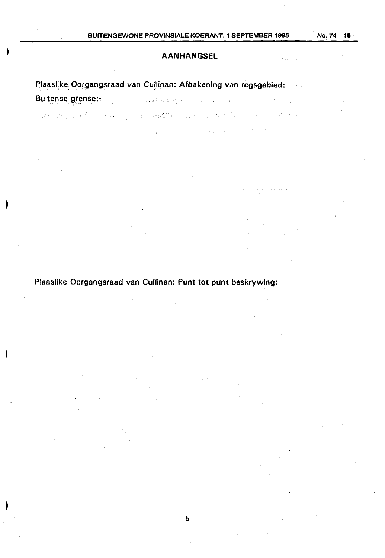### **AANHANGSEL**

• ' ~ *,i* .. ; \_,. ,, ; .\_.,\_

 $\frac{1}{2}$  ,  $\frac{1}{2}$ 

 $\mathcal{L}(\mathbf{q})$  and  $\mathbf{q}$  is a point of the set of  $\mathbf{q}$  ,  $\mathbf{q}$  ,  $\mathbf{q}$  ,  $\mathbf{q}$  ,  $\mathbf{q}$  ,  $\mathbf{q}$ 

Plaaslike, Oorgangsraad van. Cullinan: Afbakening van regsgebied: .......

Buitense.grense:- •• •• 1990 696 696 606 100 material enter

Plaaslike Oorgangsraad van Cullinan: Punt tot punt beskrywing: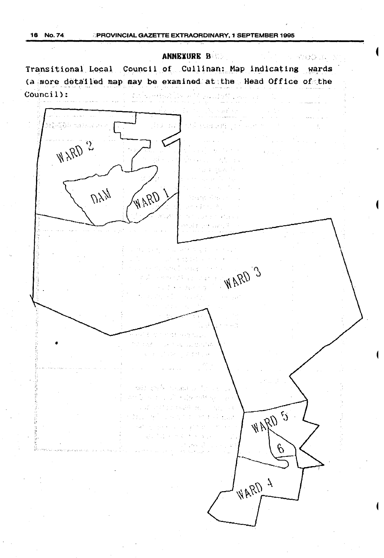ANNEXURE B **ARXXXIII** Transitional Local Council of Cullinan; Map indicating wards (a. more detailed map may be examined at the. Head Office of the Council): WARD 2  $UY_{\mathcal{H}}$ WARD E ARAW 3  $\omega$  ,  $\omega_{\rm{D}}$ a sa siya • and the Society  $\sim$   $\pm$ かくしょう アール WARD 5 2. 11. 12. 13. 94 is di  $\sum_{i=1}^{n} \sum_{j=1}^{n} \frac{1}{j} \sum_{j=1}^{n} \frac{1}{j}$  $\{ \mathcal{A}^{\mathcal{G}}_{\mathcal{A}} \}_{\mathcal{G}}$  , the set of  $\mathcal{G}$ 网络科  $\bar{z}$  $\sqrt{2}$  .  $\varphi$ **FIRRD**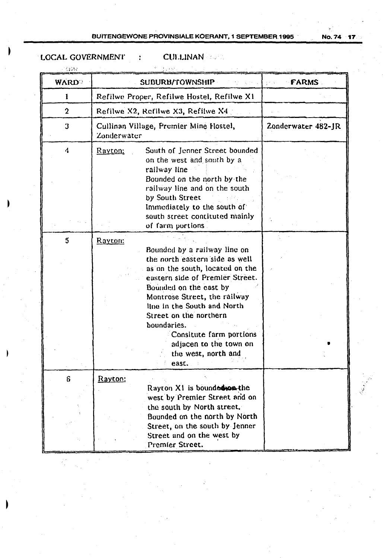**No. 74**  $-17$ 

# LOCAL GOVERNMENT

**CUILINAN** FORE

 $\ddot{\cdot}$ 

| - 12233      |                                                                                                                                                                                                                                                                                                                                                                                             |                                        |
|--------------|---------------------------------------------------------------------------------------------------------------------------------------------------------------------------------------------------------------------------------------------------------------------------------------------------------------------------------------------------------------------------------------------|----------------------------------------|
| <b>WARD</b>  | SUBURB/TOWNSHIP                                                                                                                                                                                                                                                                                                                                                                             | <b>FARMS</b><br>$\pm$ $\sigma$ , $\pm$ |
| ł            | Refilwe Proper, Refilwe Hostel, Refilwe X1                                                                                                                                                                                                                                                                                                                                                  |                                        |
| $\mathbf 2$  | Refilwe X2, Refilwe X3, Refilwe X4                                                                                                                                                                                                                                                                                                                                                          |                                        |
| $\mathbf 3$  | Cullinan Village, Premier Mine Hostel,<br>Zonderwater                                                                                                                                                                                                                                                                                                                                       | Zonderwater 482-JR                     |
| 4            | South of Jenner Street bounded<br>Rayton:<br>on the west and south by a<br>railway line<br>Bounded on the north by the<br>railway line and on the south<br>by South Street<br>Immediately to the south of<br>south street contituted mainly                                                                                                                                                 |                                        |
| $\mathbf{5}$ | of farm portions.<br>Rayton:<br>Bounded by a railway line on<br>the north eastern side as well<br>as on the south, located on the<br>eastern side of Premier Street.<br>Bounded on the cast by<br>Montrose Street, the railway<br>line in the South and North<br>Street on the northern<br>boundaries.<br>Consitute farm portions<br>adjacen to the town on<br>the west, north and<br>east. |                                        |
| 6            | Rayton:<br>Rayton X1 is bounded you the<br>west by Premier Street and on<br>the south by North street.<br>Bounded on the north by North<br>Street, on the south by Jenner<br>Street and on the west by<br>Premier Street.                                                                                                                                                                   |                                        |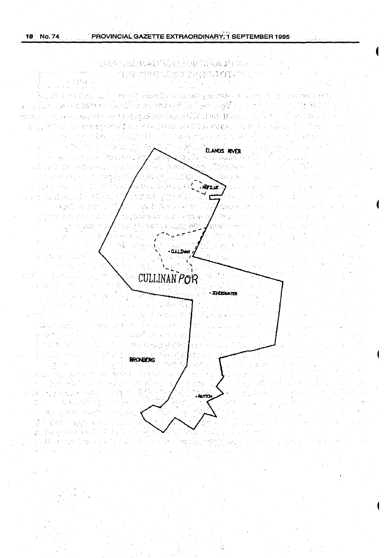liza gibi shekar

Magna

医坏血性脑炎 经成本的 医神经的 法裁定性 经运化人  $\mathcal{L}(\mathcal{G}) \cong \mathcal{L}(\mathcal{G}) \cong \mathcal{L}(\mathcal{G}) \cong \mathcal{L}(\mathcal{G}) \cong \mathcal{L}(\mathcal{G}) \cong \mathcal{L}(\mathcal{G}) \cong \mathcal{L}(\mathcal{G}) \cong \mathcal{L}(\mathcal{G}) \cong \mathcal{L}(\mathcal{G})$ 

ાર તરફ વિદ્યારા પાડવાના કર્યા થયેલ કર્યાજયારીએ આ વિક્રાણકારી તેમકો જ જોવા પ્રભાવ છે. પર પાડવા પર પર પર પર પર વ and the holder and assistant that the control of the second terms of the control of the state of the state of atoriti konori, va rena antikono da atsas de latinista di Kili talaki jalon en koko de kiloso subes.  $\mathcal{V}_{\text{eff}}$ (1) 35 平方米 的复数医学 网络巴西人名 网络巴西 医阿拉伯氏征 计可分析符 化反应器 经未参数法无偿 机碱 eks Egipta also **STE SERVICE** An Angle African Andre Ta P

ELANDS RIVER The System of Cardina 子宮 オステンスト 天森 (会社会の)地方 よそそえ みんこ トリカルき (食品) latur k  $\label{eq:2} \sum_{i=1}^n \left\langle \left\langle \mathbf{x}_i \right\rangle \right\rangle^2 \mathcal{R}_{i+1} \left\langle \mathbf{x}_i \right\rangle \right\rangle^2 \mathcal{R}_{i+1} \left\langle \mathbf{x}_i \right\rangle^2.$  $\sim$  , and **ROTLE** ng ng hadi alimbi (本质) 身份的  $22.224$ けながく むといでれたみ s.<br>Da 铁石 . Janja  $\epsilon_{\rm gas}$ 2. 大学 残的 分步 ă și

 $\sigma$  , and  $\sigma$  , and 747  $\alpha$ **TAN ARTISTS CULLINAN POR** a ta'u sa god  $\tau$   $\varnothing$  .

- ZINDERWICH ti til 11 a Break and Constantino ( 2. 郭格尔中华 小时间间。 n Computer County Watch (1982) **RAGENEDY** 

s a company and the second second second and the second second second and the second second second and second <br>Second second second second second second second and second second second second second second second second s **BRONBERG**  $\frac{1}{2} \sum_{i=1}^n \sum_{j=1}^n \sum_{j=1}^n \sum_{j=1}^n \sum_{j=1}^n \sum_{j=1}^n \sum_{j=1}^n \sum_{j=1}^n \sum_{j=1}^n \sum_{j=1}^n \sum_{j=1}^n \sum_{j=1}^n \sum_{j=1}^n \sum_{j=1}^n \sum_{j=1}^n \sum_{j=1}^n \sum_{j=1}^n \sum_{j=1}^n \sum_{j=1}^n \sum_{j=1}^n \sum_{j=1}^n \sum_{j=1}^n \sum_{j=1}^n \sum_{j=1$ range men dikerak 冠的 有树木好奇 ing Parage  $\mathcal{O}(\mathbf{a}^{\mathbf{b}}_{1},\mathbf{y}^{\mathbf{b}}_{2},\mathbf{y}^{\mathbf{b}}_{3})$ inger 19 **City Systems**  $\frac{\partial S}{\partial t} \leq \frac{\partial S}{\partial t} \leq \frac{\partial S}{\partial t}$ 18 元、长春后, 870年6月 1974年5 医海底线膜炎 机二氯法芳烯 医胆石油用气中扁平 同时结合的 5. 花粉红色蛋白等40%

an<br>Serangan 做 振兴执管会行科学 医腹膜突 法权利的法律 医马耳氏反射线

**BAYTON**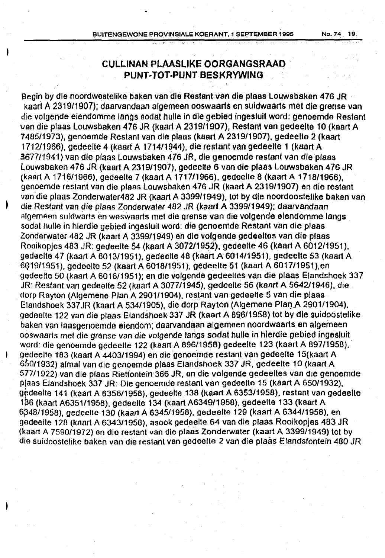No. 74 19.

## **CULLINAN PLAASLIKE OORGANGSRAAD** PUNT~ **TOT -PUNT BESKRYWING**

Begin by die noordwestelike baken van die Restant van die plaas Louwsbaken 476 JR kaart A 2319/1907); daarvandaan algemeen ooswaarts en suidwaarts met die grense van die volgende eiendomme langs sodat hulle in die gebied ingesluit word: genoemde Restant van die plaas louwsbaken 476 JR (kaart A 2319/1907), Restant van gedeelte 10 (kaert A 7485/1973), genoemde Restant van die plaas (kaart A 2319/1907), gedeelte 2 (kaart 171211966), gedeelte 4 (kaart A 1714/1944), die restantvan gedeelte **1** (kaart A 3677/1941) van die plaas Louwsbaken 476 JR, die genoemde restant van die plaas louwsbaken 476 JR (kaart A 2319/1907), gedeelte 6 van die ptaas Louwsbaken 476 JR (kaart A 1716/1966), gedeette 7 (kaart A 1717/1966). gedeelle 8 (kaart A 1718/1966), genoemde restant van die plaas Louwsbaken 476 JR (kaart A 2319/1907) en die restant vandie plaas Zonderwater482 JR (kaart A 3399/1949), tot by die noordoostelike baken van die Restant van die plaas Zonderwater 482 JR (kaart A 339911949}; daarvandaan algemeen suidwarts en weswaarts met die grense van die volgende eiendomme langs sodat hulle in hierdie gebied ingesluit word: die genoemde Restant van die plaas Zonderwater 482 JR (kaart A 3399/1949) en die volgende gedeeltes van die plaas Rooikopjes 483 JR: gedeelte 54 (kaart A 3072/1952), gedeette 46 (kaart A 6012/1951). gedeelte 47 (kaart A 601311951), gedeelte 48 (kaart A 6014/1951 ), gedeelte 53 (kaart A 6Q19/1951). gedeette 52 (kaart A 6018/1951), gedeelte 51 (kaart A 6017/1951),en gedeelte 50 (kaart A 6016/1951); en die volgende gedeelles van die plaas Elandshoek 337 JR: Restam van gedeelte 52 (kaart A 3077/1945}, gedeette 56 (kaart A 5642/1946), die dorp Rayton (Algemene Plan A 2901/1904), restant van gedeelte 5 van die plaas Elandshoek 337 JR (kaart A 534/1905), die dorp Rayton (Algemene Plan A 2901/1904), gedeolte 122 van die plaas Elandshoek 337 JR (kaart A 8Q6/1958) tot by die suidoostelike baken van taasgenoemde eiendom: daarvandaan algemeen noordwaarts. en algemeen ooswaarts met die grense van die volgende langs sodat hulle in hierdie gebied ingesluit word: die genoemde gedeelte 122 (kaart A 896/1958) gedeelte 123 (kaart A 897/1958). gedeelle 183 (kaart A 4403/1994) en die genoemde restant van gedeelte 15(kaart A GS0/1932} almal van die genoemde plaas Elandshoek 337 JR. gedeelte 10 (kaart A 577/1922) van die pfaas Rietfontein 366 JR. en die volgende gedeettes van die genoemde p(aas Efandshoek 337 JR: Die genoernde restant van gedeette 15 (kaart A 650/1932). gedeelte 141 (kaart A 6356/1958), gedeelte 138 (kaart A 6353/1958), restant van gedeelte 1~6 (kaart A6351/1958), gedeelte 134 (kaart A6349/1958), gedeefte 133 (kaart A 6348/1958), gedeelte 130 (kaart A 6345/1958), gedeelte 129 (kaart A 6344/1958), en gedeelte 1 ?A (kaart A 6343/1958), asook gedeelle 64 van die plaas Rooikopjes 483 JR (kaart A 7590/1972) en dio restant van die plaas Zonderwater (kaart A 3399/1949) tot by die suidoostelike baken van die restant van gedeelte 2 van die plaas Elandsfontein 480 JR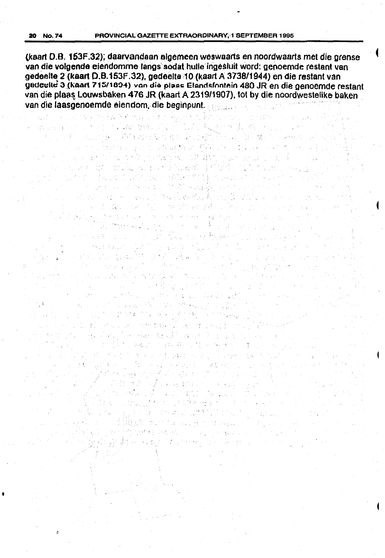(kaart D.B. 153F.32); daarvandaan algemeen weswaarts en noordwaarts met die grense van die volgende eiendomme langs sodat hulle ingesluit word: genoemde restant van gedeelte 2 (kaart D.B.153F.32), gedeelte 10 (kaart A 3738/1944) en die restant van gedeelle 3 (kaart 715/1894) van die plaas Elandsfontein 480 JR en die genoemde restant van die plaas Louwsbaken 476 JR (kaart A 2319/1907), tot by die noordwestelike baken van die laasgenoemde eiendom, die beginpunt. Betraat die beginpunt van die beginpunt van die beginpunt van die

of the about the transfer a significant with the first section of the first section of the section of the section

en en de la politike († 1939).<br>19 Martie: Johann Steiner, skriuwer en besteander († 1939).

 $\label{eq:2} \frac{1}{\sqrt{2}}\left(\frac{1}{\sqrt{2}}\right)^2\left(\frac{1}{\sqrt{2}}\right)^2\left(\frac{1}{\sqrt{2}}\right)^2.$ 

 $\mathcal{L}^{\text{max}}_{\text{max}}$ 

الروابط

 $\{x_{i}\}_{i=1}^{n}$ 

 $\frac{1}{2}$  ,  $\frac{1}{2}$ 

製品 (1) 2010年1月1日

)<br>Bernard (1910-1920) (1910-1911)<br>Arthur (1910-1911)

 $\frac{1}{2}$  ,  $\frac{1}{2}$  ,  $\frac{1}{2}$  ,  $\frac{1}{2}$ 

 $\sum_{i=1}^{n} \alpha_i = \sum_{i=1}^{n} \alpha_i$ 

 $\mathcal{L}_{\mathrm{L}}$  , where  $\mathcal{L}_{\mathrm{L}}$ 

 $\mathcal{A}$  in the  $\mathcal{A}$ 

 $\mathcal{L}_{\text{max}}$ 

er i bere del seguito del provincia.<br>Del seguito del seguito del provincia del provincia del provincia del provincia del provincia del provincia de

 $\frac{1}{2}$  ,  $\frac{1}{2}$  ,  $\frac{1}{2}$ 

and the state of the content of the

**Contractor** 

 $\sqrt{2}$ 

ng ta ka 39 may 1992 na sa na kiring ari n

and the main position of the position of the problem of

 $\label{eq:2} \mathcal{L}_{\text{M}} \leq \mathcal{L}_{\text{M}} \leq \mathcal{L}_{\text{M}} \leq \mathcal{L}_{\text{M}} \leq \mathcal{L}_{\text{M}} \, \mathcal{L}_{\text{M}}$ 

ita juli

of the state of the process of the second and control of the second second second

ang ang Papaulana na kal

经一项 电二氢 **Company Street Company** 

And Read in the Company

 $\label{eq:3.1} \frac{\partial}{\partial t} \partial_{t} \Omega_{\mathcal{L}} \Omega_{\mathcal{L}} = \frac{1}{2} \frac{\partial}{\partial t} \frac{\partial}{\partial t} \partial_{t} \Omega_{\mathcal{L}} + \frac{1}{2} \frac{\partial}{\partial t} \frac{\partial}{\partial t} \Omega_{\mathcal{L}} + \frac{1}{2} \frac{\partial}{\partial t} \frac{\partial}{\partial t} \Omega_{\mathcal{L}} + \frac{1}{2} \frac{\partial}{\partial t} \frac{\partial}{\partial t} \Omega_{\mathcal{L}} + \frac{1}{2} \frac{\partial}{\partial t} \frac{\partial}{\partial t} \Omega_{\mathcal{L$ 

经行政 法无序的行为人 **Strainer (201**7)

તર જેવી વસ્તી દર્દ રહ્યો છે. આ જેન્દ્ર સંસ્થાન પ્રાપ્ય થયે o de la color di possibilità di la console del

( ) 2010 年代

ทางเมนต์ ที่ 1945 ปี การเมตรี (การค้า) รัฐคราคที

 $\omega = \mathbb{E}[\mathbf{q}_{\mathrm{in}}]$  .

San Barat Ro

 $\mathcal{L}_{\mathcal{A}}=\mathcal{L}_{\mathcal{A}}$ 

No. 1970<br>- 小野森 - 2013年 - 802<br>- 602-1027年 - 1027年

(民)部门传统

a sa Charlas Alban agus an t-a

National String Residence

 $\mathcal{F}(\mathcal{E},\mathbf{y})$ 

**Constitution** 

 $\label{eq:2} \mathcal{L}_{\mathcal{F}}(\mathbf{x}) = \mathcal{L}_{\mathcal{F}}(\mathbf{x}) = \mathcal{L}_{\mathcal{F}}(\mathbf{x}) = \mathcal{L}_{\mathcal{F}}(\mathbf{x})$ 

ste oktober generat

 $\label{eq:3.1} \frac{1}{2} \left( \frac{1}{2} \right)^2 \left( \frac{1}{2} \sum_{i=1}^2 \frac{1}{2} \sum_{i=1}^2 \left( \frac{1}{2} \sum_{i=1}^2 \frac{1}{2} \sum_{i=1}^2 \frac{1}{2} \sum_{i=1}^2 \frac{1}{2} \sum_{i=1}^2 \frac{1}{2} \sum_{i=1}^2 \frac{1}{2} \sum_{i=1}^2 \frac{1}{2} \sum_{i=1}^2 \frac{1}{2} \sum_{i=1}^2 \frac{1}{2} \sum_{i=1}^2 \frac{1}{2} \$ 

 $\label{eq:2.1} \frac{1}{2} \mathcal{L} \left( \mathcal{L} \right) = \frac{1}{2} \mathcal{L} \left( \mathcal{L} \right) = \frac{1}{2} \mathcal{L} \left( \mathcal{L} \right)$ 

 $\label{eq:2.1} \left\langle \left\langle \hat{p}_{\alpha} \hat{p}_{\alpha} \right\rangle \right\rangle_{\mathcal{F}} = \left\langle \hat{p}_{\alpha} \hat{p}_{\alpha} \hat{p}_{\alpha} \right\rangle_{\mathcal{F}} = \left\langle \hat{p}_{\alpha} \hat{p}_{\alpha} \right\rangle_{\mathcal{F}}$ 

The Case of Car

 $\pm \sqrt{2}$ 

 $\label{eq:2} \begin{split} \mathcal{L}_{\text{max}} = \frac{1}{2} \sum_{i=1}^{N} \frac{1}{\sigma_{i}^{2} \sigma_{\text{max}}^{2} \sqrt{2}} \left[ \frac{g_{i}^{2}}{2} \right] \end{split}$ 

이 감동 제대

○唐太郎|

the state

 $\label{eq:1} \frac{1}{\sqrt{2}}\int_{\mathbb{R}^3}\frac{1}{\sqrt{2}}\int_{\mathbb{R}^3}\frac{1}{\sqrt{2}}\int_{\mathbb{R}^3}\frac{1}{\sqrt{2}}\int_{\mathbb{R}^3}\frac{1}{\sqrt{2}}\int_{\mathbb{R}^3}\frac{1}{\sqrt{2}}\int_{\mathbb{R}^3}\frac{1}{\sqrt{2}}\int_{\mathbb{R}^3}\frac{1}{\sqrt{2}}\int_{\mathbb{R}^3}\frac{1}{\sqrt{2}}\int_{\mathbb{R}^3}\frac{1}{\sqrt{2}}\int_{\mathbb{R}^3}\frac{$ 

행한 방식으로 만들어 있다.

 $\label{eq:2} \mathcal{E} = \mathcal{E} \left[ \mathcal{E} \right] \left[ \mathcal{E} \right] \left[ \mathcal{E} \right] \left[ \mathcal{E} \right] \left[ \mathcal{E} \right]$ 

 $\label{eq:2} \mathcal{L}_{\mathcal{A}} = \mathcal{L}_{\mathcal{A}} \left( \mathcal{L}_{\mathcal{A}} \right) \mathcal{L}_{\mathcal{A}} \left( \mathcal{L}_{\mathcal{A}} \right)$ 

es laborator de la com

1977年,1988年,1989年,1989年,1989年。<br>1989年 4月10日,1989年,1989年,1989年

a provincia de la capital de Partide de la capital de la capital de la capital de la capital de la capital de<br>La capital de la capital de la capital de la capital de la capital de la capital de la capital de la capital d ina wikipipawén, lisit di tiga selé d milk at nord madel things on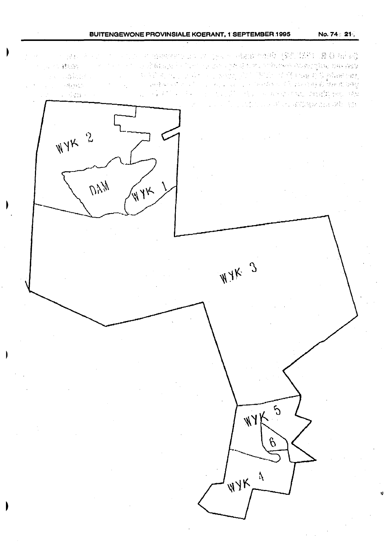### **BUITENGEWONE PROVINSIALE KOERANT, 1 SEPTEMBER 1995**

网络中国中国中心 医卡尔氏试验检神经 化乙烯基 医心包 医心包  $\sim 100$ 1. 原因2.1. No. 1 (1) min my control by A. Home of the Monte Montgott Day Day And M 2011年1月 a shekarar 1970 - 1980 - 1980 - 1980 Anii 1980 Anii 1980 Anii 1980 Anii 1980 Anii 1980 Anii 1980 Anii 1980 Ani ne admits 如何的 经一个人的 Confidence in the first of the case of a continue of first property as then by being  $\sim 25\mu\mathrm{MeV}$  .  $\mathcal{A}_{\mathcal{L}}$ and the state of the second state of the state of the state of the state of the state of the state of the state of the state of the state of the state of the state of the state of the state of the state of the state of the C. Company 

 $\Delta \sim 10^4$ 



 $M/k$  3

 $5\overline{)}$  $\frac{1}{4}$ K $\frac{1}{4}$  $\beta$ WYKA

No. 74 : 21 .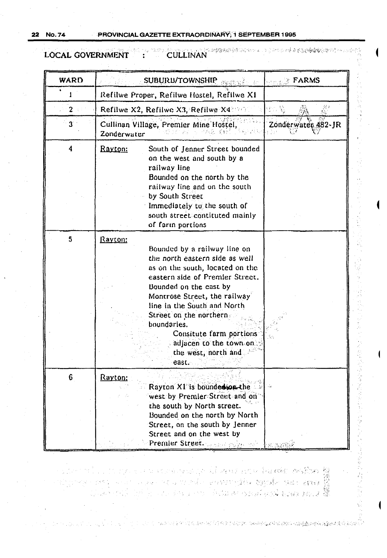**No.74** 22

mis in a monastrobalisticism

医肾脏切除术 化硫酸氢盐医硫酸氢医乙酸医盐酸医乙酸盐医乙酸 医牙吸管

LOCAL GOVERNMENT CULLINAN  $\mathcal{L}^{\mathcal{L}}$ 

| <b>WARD</b>    | SUBURB/TOWNSHIP                                                                                                                                                                                                                                                                                                                                                         | <b>STRACK FARMS</b>                   |  |  |  |
|----------------|-------------------------------------------------------------------------------------------------------------------------------------------------------------------------------------------------------------------------------------------------------------------------------------------------------------------------------------------------------------------------|---------------------------------------|--|--|--|
|                | Refilwe Proper, Refilwe Hostel, Refilwe XI                                                                                                                                                                                                                                                                                                                              |                                       |  |  |  |
| $2 -$          | Refilwe X2, Refilwe X3, Refilwe X48965                                                                                                                                                                                                                                                                                                                                  |                                       |  |  |  |
| 3 <sup>1</sup> | Cullinan Village, Premier Mine Hostel,<br>Zonderwater                                                                                                                                                                                                                                                                                                                   | Zonderwater 482-JR<br>: 19            |  |  |  |
| 4              | South of Jenner Street bounded<br><u>Rayton:</u><br>on the west and south by a<br>railway line<br>Bounded on the north by the<br>railway line and on the south<br>by South Street<br>Immediately to the south of<br>south street contituted mainly<br>of farin portions                                                                                                 |                                       |  |  |  |
| 5              | Rayton:<br>Bounded by a railway line on<br>the north eastern side as well<br>as on the south, located on the<br>eastern side of Premier Street.<br>Bounded on the cast by<br>Montrose Street, the railway<br>line in the South and North<br>Street on the northern.<br>boundaries.<br>Consitute farm portions<br>adjacen to the town on<br>the west, north and<br>east. |                                       |  |  |  |
| 6              | Rayton:<br>Rayton X1 is bounded son the<br>west by Premier Street and on<br>the south by North street.<br>Bounded on the north by North<br>Street, on the south by Jenner<br>Street and on the west by<br>Premier Street. James Police of                                                                                                                               | $\mathcal{L}_{\text{int}}$<br>·図 BQ7第 |  |  |  |

a grup yn 21 seas am y barwleit myfhwr ff<br>14 marthu 14 awdraethau thyrdis anno 14 an 15<br>19 mae - Album mewn a gwlad arna 14 an 15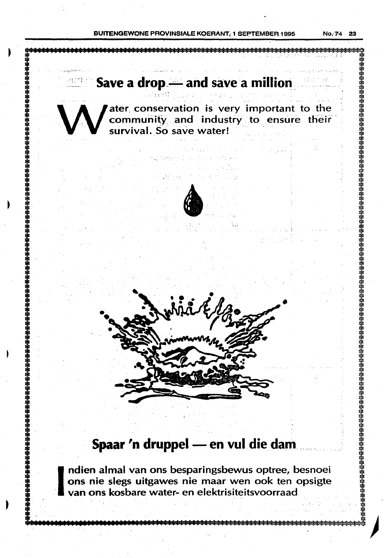**BUITENGEWONE PROVINSIALE KOERANT: 1 SEPTEMBER 1995** 

No. 74

23

**豬椽<del>о</del>緓籡稄**稄猤铬铬铬铬铬铬铬铬铬铬铬铬铬

臵臵鍨湬搩箊臵臵<del>慦渁滚滚滚铵臵蒤慦蒤蒤蒤蔱莈</del>

# Save a drop - and save a million ater conservation is very important to the community and industry to ensure their survival. So save water!

# Spaar 'n druppel - en vul die dam

ndien almal van ons besparingsbewus optree, besnoei ons nie slegs uitgawes nie maar wen ook ten opsigte van ons kosbare water- en elektrisiteitsvoorraad